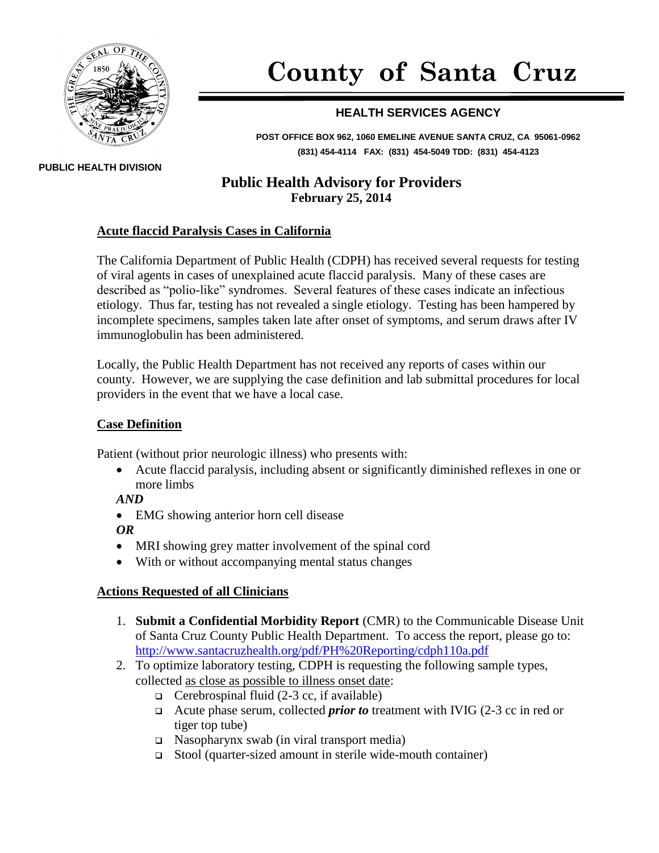

# **County of Santa Cruz**

## **HEALTH SERVICES AGENCY**

**POST OFFICE BOX 962, 1060 EMELINE AVENUE SANTA CRUZ, CA 95061-0962 (831) 454-4114 FAX: (831) 454-5049 TDD: (831) 454-4123**

## **Public Health Advisory for Providers February 25, 2014**

#### **Acute flaccid Paralysis Cases in California**

The California Department of Public Health (CDPH) has received several requests for testing of viral agents in cases of unexplained acute flaccid paralysis. Many of these cases are described as "polio-like" syndromes. Several features of these cases indicate an infectious etiology. Thus far, testing has not revealed a single etiology. Testing has been hampered by incomplete specimens, samples taken late after onset of symptoms, and serum draws after IV immunoglobulin has been administered.

Locally, the Public Health Department has not received any reports of cases within our county. However, we are supplying the case definition and lab submittal procedures for local providers in the event that we have a local case.

#### **Case Definition**

Patient (without prior neurologic illness) who presents with:

 Acute flaccid paralysis, including absent or significantly diminished reflexes in one or more limbs

*AND*

• EMG showing anterior horn cell disease

*OR*

- MRI showing grey matter involvement of the spinal cord
- With or without accompanying mental status changes

### **Actions Requested of all Clinicians**

- 1. **Submit a Confidential Morbidity Report** (CMR) to the Communicable Disease Unit of Santa Cruz County Public Health Department. To access the report, please go to: <http://www.santacruzhealth.org/pdf/PH%20Reporting/cdph110a.pdf>
- 2. To optimize laboratory testing, CDPH is requesting the following sample types, collected as close as possible to illness onset date:
	- $\Box$  Cerebrospinal fluid (2-3 cc, if available)
	- Acute phase serum, collected *prior to* treatment with IVIG (2-3 cc in red or tiger top tube)
	- $\Box$  Nasopharynx swab (in viral transport media)
	- Stool (quarter-sized amount in sterile wide-mouth container)

**PUBLIC HEALTH DIVISION**